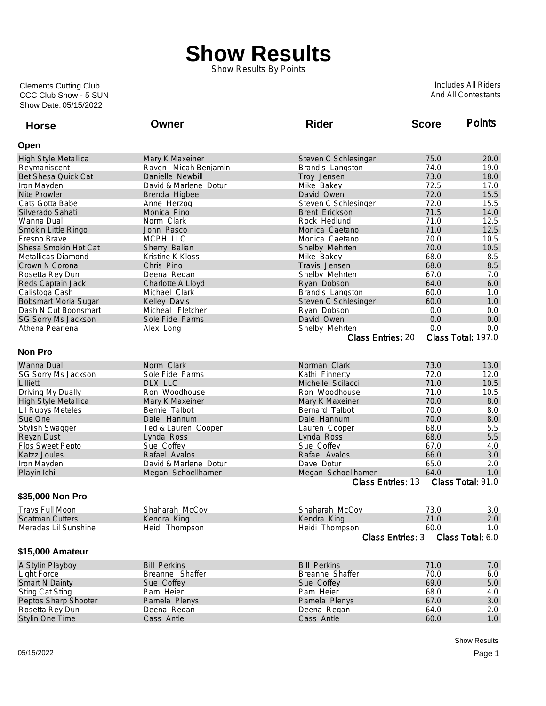## **Show Results**

Show Results By Points

Show Date: 05/15/2022 CCC Club Show - 5 SUN Clements Cutting Club

Includes All Riders And All Contestants

| <b>Horse</b>                | Owner                 | <b>Rider</b>                         | <b>Score</b> | <b>Points</b>      |
|-----------------------------|-----------------------|--------------------------------------|--------------|--------------------|
| Open                        |                       |                                      |              |                    |
| High Style Metallica        | Mary K Maxeiner       | Steven C Schlesinger                 | 75.0         | 20.0               |
| Reymaniscent                | Raven Micah Benjamin  | Brandis Langston                     | 74.0         | 19.0               |
| Bet Shesa Quick Cat         | Danielle Newbill      | Troy Jensen                          | 73.0         | 18.0               |
| Iron Mayden                 | David & Marlene Dotur | Mike Bakey                           | 72.5         | 17.0               |
| Nite Prowler                | Brenda Higbee         | David Owen                           | 72.0         | 15.5               |
| Cats Gotta Babe             | Anne Herzog           | Steven C Schlesinger                 | 72.0         | 15.5               |
| Silverado Sahati            | Monica Pino           | <b>Brent Erickson</b>                | 71.5         | 14.0               |
| Wanna Dual                  | Norm Clark            | Rock Hedlund                         | 71.0         | 12.5               |
| Smokin Little Ringo         | John Pasco            | Monica Caetano                       | 71.0         | 12.5               |
| Fresno Brave                | MCPH LLC              | Monica Caetano                       | 70.0         | 10.5               |
| Shesa Smokin Hot Cat        | Sherry Balian         | Shelby Mehrten                       | 70.0         | 10.5               |
| Metallicas Diamond          | Kristine K Kloss      | Mike Bakey                           | 68.0         | 8.5                |
| Crown N Corona              | Chris Pino            | Travis Jensen                        | 68.0         | 8.5                |
| Rosetta Rey Dun             | Deena Regan           | Shelby Mehrten                       | 67.0         | 7.0                |
| Reds Captain Jack           | Charlotte A Lloyd     | Ryan Dobson                          | 64.0         | 6.0                |
| Calistoga Cash              | Michael Clark         | Brandis Langston                     | 60.0         | 1.0                |
| <b>Bobsmart Moria Sugar</b> | Kelley Davis          | Steven C Schlesinger                 | 60.0         | 1.0                |
| Dash N Cut Boonsmart        | Micheal Fletcher      | Ryan Dobson                          | 0.0          | 0.0                |
| SG Sorry Ms Jackson         | Sole Fide Farms       | David Owen                           | 0.0          | 0.0                |
| Athena Pearlena             |                       | Shelby Mehrten                       | 0.0          | 0.0                |
|                             | Alex Long             | <b>Class Entries: 20</b>             |              | Class Total: 197.0 |
|                             |                       |                                      |              |                    |
| <b>Non Pro</b>              |                       |                                      |              |                    |
| Wanna Dual                  | Norm Clark            | Norman Clark                         | 73.0         | 13.0               |
| SG Sorry Ms Jackson         | Sole Fide Farms       | Kathi Finnerty                       | 72.0         | 12.0               |
| Lilliett                    | DLX LLC               | Michelle Scilacci                    | 71.0         | 10.5               |
| Driving My Dually           | Ron Woodhouse         | Ron Woodhouse                        | 71.0         | 10.5               |
| High Style Metallica        | Mary K Maxeiner       | Mary K Maxeiner                      | 70.0         | 8.0                |
| Lil Rubys Meteles           | Bernie Talbot         | Bernard Talbot                       | 70.0         | 8.0                |
| Sue One                     | Dale Hannum           | Dale Hannum                          | 70.0         | 8.0                |
| Stylish Swagger             | Ted & Lauren Cooper   | Lauren Cooper                        | 68.0         | 5.5                |
| Reyzn Dust                  | Lynda Ross            | Lynda Ross                           | 68.0         | 5.5                |
| Flos Sweet Pepto            | Sue Coffey            | Sue Coffey                           | 67.0         | 4.0                |
| Katzz Joules                | Rafael Avalos         | Rafael Avalos                        | 66.0         | 3.0                |
| Iron Mayden                 | David & Marlene Dotur | Dave Dotur                           | 65.0         | 2.0                |
| Playin Ichi                 | Megan Schoellhamer    | Megan Schoellhamer                   | 64.0         | 1.0                |
|                             |                       | Class Entries: 13                    |              | Class Total: 91.0  |
| \$35,000 Non Pro            |                       |                                      |              |                    |
| <b>Travs Full Moon</b>      | Shaharah McCoy        | Shaharah McCoy                       | 73.0         | 3.0                |
| <b>Scatman Cutters</b>      | Kendra King           | Kendra King                          | 71.0         | 2.0                |
| Meradas Lil Sunshine        | Heidi Thompson        | Heidi Thompson                       | 60.0         | 1.0                |
|                             |                       | Class Total: 6.0<br>Class Entries: 3 |              |                    |
| \$15,000 Amateur            |                       |                                      |              |                    |
|                             |                       | <b>Bill Perkins</b>                  |              |                    |
| A Stylin Playboy            | <b>Bill Perkins</b>   |                                      | 71.0         | 7.0                |
| <b>Light Force</b>          | Breanne Shaffer       | Breanne Shaffer                      | 70.0         | 6.0                |
| <b>Smart N Dainty</b>       | Sue Coffey            | Sue Coffey                           | 69.0         | 5.0                |
| <b>Sting Cat Sting</b>      | Pam Heier             | Pam Heier                            | 68.0         | 4.0                |
| Peptos Sharp Shooter        | Pamela Plenys         | Pamela Plenys                        | 67.0         | 3.0                |
| Rosetta Rey Dun             | Deena Regan           | Deena Regan                          | 64.0         | 2.0                |
| Stylin One Time             | Cass Antle            | Cass Antle                           | 60.0         | 1.0                |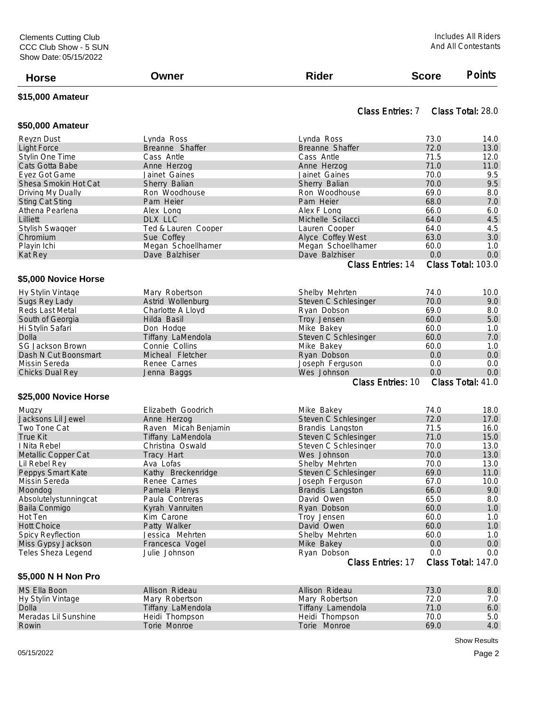| <b>Horse</b>             | Owner                | <b>Rider</b>                                  | <b>Score</b>                     | <b>Points</b>      |
|--------------------------|----------------------|-----------------------------------------------|----------------------------------|--------------------|
| \$15,000 Amateur         |                      |                                               |                                  |                    |
| \$50,000 Amateur         |                      | Class Entries: 7                              |                                  | Class Total: 28.0  |
| Reyzn Dust               | Lynda Ross           | Lynda Ross                                    | 73.0                             | 14.0               |
| <b>Light Force</b>       | Breanne Shaffer      | Breanne Shaffer                               | 72.0                             | 13.0               |
| Stylin One Time          | Cass Antle           | Cass Antle                                    | 71.5                             | 12.0               |
| Cats Gotta Babe          | Anne Herzog          | Anne Herzog                                   | 71.0                             | 11.0               |
| Eyez Got Game            | Jainet Gaines        | Jainet Gaines                                 | 70.0                             | 9.5                |
| Shesa Smokin Hot Cat     | Sherry Balian        | Sherry Balian                                 | 70.0                             | 9.5                |
| Driving My Dually        | Ron Woodhouse        | Ron Woodhouse                                 | 69.0                             | 8.0                |
| <b>Sting Cat Sting</b>   | Pam Heier            | Pam Heier                                     | 68.0                             | 7.0                |
| Athena Pearlena          | Alex Long            | Alex F Long                                   | 66.0                             | 6.0                |
| Lilliett                 | DLX LLC              | Michelle Scilacci                             | 64.0                             | 4.5                |
| Stylish Swagger          | Ted & Lauren Cooper  | Lauren Cooper                                 | 64.0                             | 4.5                |
| Chromium                 | Sue Coffey           | Alyce Coffey West                             | 63.0                             | 3.0                |
| Playin Ichi              | Megan Schoellhamer   | Megan Schoellhamer                            | 60.0                             | 1.0                |
| Kat Rey                  | Dave Balzhiser       | Dave Balzhiser                                | 0.0                              | 0.0                |
|                          |                      | Class Entries: 14                             |                                  | Class Total: 103.0 |
| \$5,000 Novice Horse     |                      |                                               |                                  |                    |
| Hy Stylin Vintage        | Mary Robertson       | Shelby Mehrten                                | 74.0                             | 10.0               |
| Sugs Rey Lady            | Astrid Wollenburg    | Steven C Schlesinger                          | 70.0                             | 9.0                |
| Reds Last Metal          | Charlotte A Lloyd    | Ryan Dobson                                   | 69.0                             | 8.0                |
| South of Georgia         | Hilda Basil          | Troy Jensen                                   | 60.0                             | 5.0                |
| Hi Stylin Safari         | Don Hodge            | Mike Bakey                                    | 60.0                             | 1.0                |
| Dolla                    | Tiffany LaMendola    | Steven C Schlesinger                          | 60.0                             | 7.0                |
| <b>SG Jackson Brown</b>  | Connie Collins       | Mike Bakey                                    | 60.0                             | 1.0                |
| Dash N Cut Boonsmart     | Micheal Fletcher     | Ryan Dobson                                   | 0.0                              | 0.0                |
| Missin Sereda            | Renee Carnes         | Joseph Ferguson                               | 0.0                              | 0.0                |
| Chicks Dual Rey          | Jenna Baggs          | Wes Johnson                                   | 0.0                              | 0.0                |
|                          |                      | Class Total: 41.0<br><b>Class Entries: 10</b> |                                  |                    |
| \$25,000 Novice Horse    |                      |                                               |                                  |                    |
| Mugzy                    | Elizabeth Goodrich   | Mike Bakey                                    | 74.0                             | 18.0               |
| Jacksons Lil Jewel       | Anne Herzog          | Steven C Schlesinger                          | 72.0                             | 17.0               |
| Two Tone Cat             | Raven Micah Benjamin | Brandis Langston                              | 71.5                             | 16.0               |
| <b>True Kit</b>          | Tiffany LaMendola    | Steven C Schlesinger                          | 71.0                             | 15.0               |
| I Nita Rebel             | Christina Oswald     | Steven C Schlesinger                          | 70.0                             | 13.0               |
| Metallic Copper Cat      | Tracy Hart           | Wes Johnson                                   | 70.0                             | 13.0               |
| Lil Rebel Rey            | Ava Lofas            | Shelby Mehrten                                | 70.0                             | 13.0               |
| Peppys Smart Kate        | Kathy Breckenridge   | Steven C Schlesinger                          | 69.0                             | 11.0               |
| Missin Sereda            | Renee Carnes         | Joseph Ferguson                               | 67.0                             | 10.0               |
| Moondog                  | Pamela Plenys        | Brandis Langston                              | 66.0                             | 9.0                |
| Absolutelystunningcat    | Paula Contreras      | David Owen                                    | 65.0                             | 8.0                |
| Baila Conmigo            | Kyrah Vanruiten      | Ryan Dobson                                   | 60.0                             | 1.0                |
| Hot Ten                  | Kim Carone           | Troy Jensen                                   | 60.0                             | 1.0                |
| <b>Hott Choice</b>       | Patty Walker         | David Owen                                    | 60.0                             | 1.0                |
| <b>Spicy Reyflection</b> | Jessica Mehrten      | Shelby Mehrten                                | 60.0                             | 1.0                |
| Miss Gypsy Jackson       | Francesca Vogel      | Mike Bakey                                    | 0.0                              | 0.0                |
| Teles Sheza Legend       | Julie Johnson        | Ryan Dobson<br>Class Entries: 17              | 0.0<br>0.0<br>Class Total: 147.0 |                    |
|                          |                      |                                               |                                  |                    |
| \$5,000 N H Non Pro      |                      |                                               |                                  |                    |
| MS Ella Boon             | Allison Rideau       | Allison Rideau                                | 73.0                             | 8.0                |
| Hy Stylin Vintage        | Mary Robertson       | Mary Robertson                                | 72.0                             | 7.0<br>$\sim$      |

| MS Elia Boon         | Allison Rideau    | Allison Rideau    | 73.U | 8.U |
|----------------------|-------------------|-------------------|------|-----|
| Hy Stylin Vintage    | Mary Robertson    | Mary Robertson    | 72.0 | 7.0 |
| Dolla                | Tiffany LaMendola | Tiffany Lamendola | 71.0 | 6.0 |
| Meradas Lil Sunshine | Heidi Thompson    | Heidi Thompson    | 70.0 | 5.0 |
| Rowin                | Torie Monroe      | Torie Monroe      | 69.0 | 4.0 |